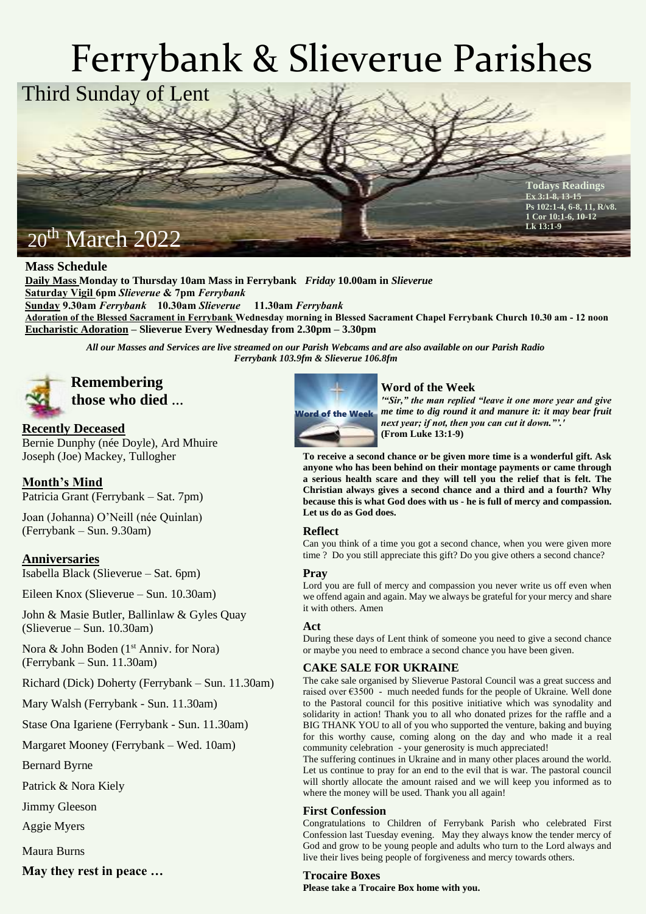# Ferrybank & Slieverue Parishes



# **Mass Schedule**

**Daily Mass Monday to Thursday 10am Mass in Ferrybank** *Friday* **10.00am in** *Slieverue* **Saturday Vigil 6pm** *Slieverue* **& 7pm** *Ferrybank* **Sunday 9.30am** *Ferrybank* **10.30am** *Slieverue* **11.30am** *Ferrybank* **Adoration of the Blessed Sacrament in Ferrybank Wednesday morning in Blessed Sacrament Chapel Ferrybank Church 10.30 am - 12 noon Eucharistic Adoration – Slieverue Every Wednesday from 2.30pm – 3.30pm**

*All our Masses and Services are live streamed on our Parish Webcams and are also available on our Parish Radio Ferrybank 103.9fm & Slieverue 106.8fm*



# **those who died …**

# **Recently Deceased**

Bernie Dunphy (née Doyle), Ard Mhuire Joseph (Joe) Mackey, Tullogher

# **Month's Mind**

Patricia Grant (Ferrybank – Sat. 7pm)

Joan (Johanna) O'Neill (née Quinlan) (Ferrybank – Sun. 9.30am)

# **Anniversaries**

Isabella Black (Slieverue – Sat. 6pm)

Eileen Knox (Slieverue – Sun. 10.30am)

John & Masie Butler, Ballinlaw & Gyles Quay (Slieverue – Sun. 10.30am)

Nora & John Boden (1<sup>st</sup> Anniv. for Nora) (Ferrybank – Sun. 11.30am)

Richard (Dick) Doherty (Ferrybank – Sun. 11.30am)

Mary Walsh (Ferrybank - Sun. 11.30am)

Stase Ona Igariene (Ferrybank - Sun. 11.30am)

Margaret Mooney (Ferrybank – Wed. 10am)

Bernard Byrne

Patrick & Nora Kiely

Jimmy Gleeson

Aggie Myers

Maura Burns

**May they rest in peace …**



# **Word of the Week**

*'"Sir," the man replied "leave it one more year and give*  Word of the Week me time to dig round it and manure it: it may bear fruit *next year; if not, then you can cut it down."'.'* **(From Luke 13:1-9)**

**To receive a second chance or be given more time is a wonderful gift. Ask anyone who has been behind on their montage payments or came through a serious health scare and they will tell you the relief that is felt. The Christian always gives a second chance and a third and a fourth? Why because this is what God does with us - he is full of mercy and compassion. Let us do as God does.** 

#### **Reflect**

Can you think of a time you got a second chance, when you were given more time ? Do you still appreciate this gift? Do you give others a second chance?

# **Pray**

Lord you are full of mercy and compassion you never write us off even when we offend again and again. May we always be grateful for your mercy and share it with others. Amen

#### **Act**

During these days of Lent think of someone you need to give a second chance or maybe you need to embrace a second chance you have been given.

# **CAKE SALE FOR UKRAINE**

The cake sale organised by Slieverue Pastoral Council was a great success and raised over  $63500$  - much needed funds for the people of Ukraine. Well done to the Pastoral council for this positive initiative which was synodality and solidarity in action! Thank you to all who donated prizes for the raffle and a BIG THANK YOU to all of you who supported the venture, baking and buying for this worthy cause, coming along on the day and who made it a real community celebration - your generosity is much appreciated!

The suffering continues in Ukraine and in many other places around the world. Let us continue to pray for an end to the evil that is war. The pastoral council will shortly allocate the amount raised and we will keep you informed as to where the money will be used. Thank you all again!

# **First Confession**

Congratulations to Children of Ferrybank Parish who celebrated First Confession last Tuesday evening. May they always know the tender mercy of God and grow to be young people and adults who turn to the Lord always and live their lives being people of forgiveness and mercy towards others.

#### **Trocaire Boxes**

**Please take a Trocaire Box home with you.**